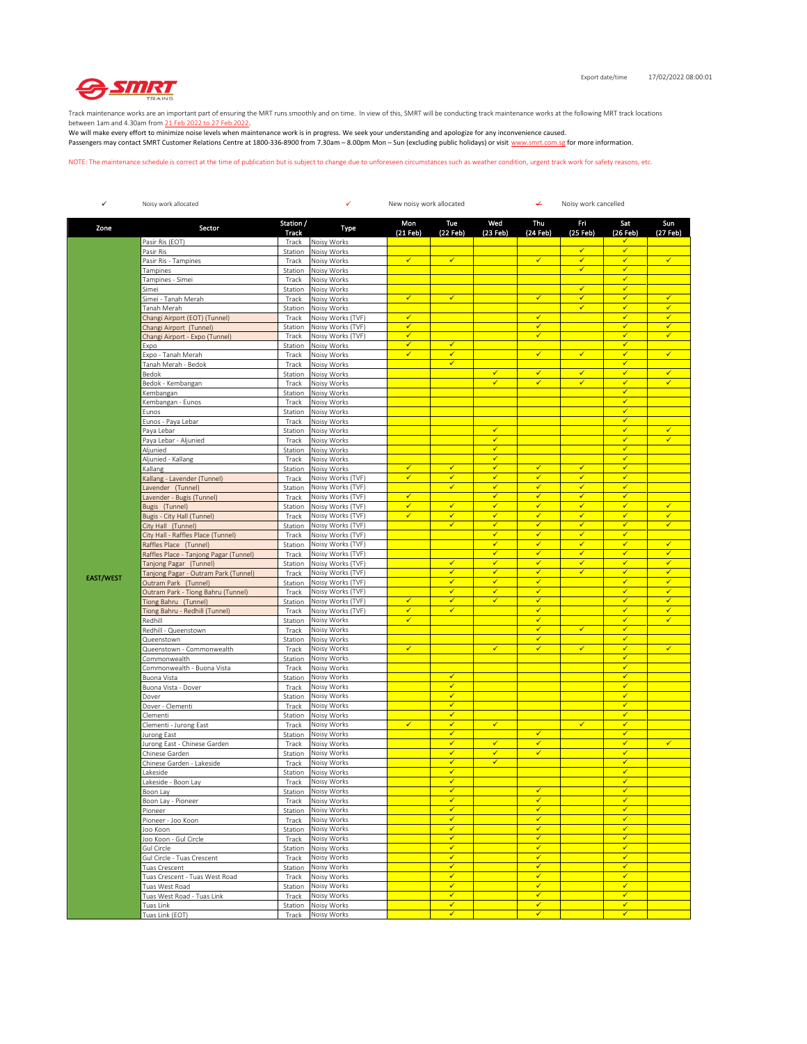

Track maintenance works are an important part of ensuring the MRT runs smoothly and on time. In view of this, SMRT will be conducting track maintenance works at the following MRT track locations

between 1am and 4.30am from <u>21 Feb 2022 to 27 Feb 2022</u>.<br>We will make every effort to minimize noise levels when maintenance work is in progress. We seek your understanding and apologize for any inconvenience caused. Passengers may contact SMRT Customer Relations Centre at 1800-336-8900 from 7.30am – 8.00pm Mon – Sun (excluding public holidays) or visit www.smrt.com.sg for more information.

NOTE: The maintenance schedule is correct at the time of publication but is subject to change due to unforeseen circumstances such as weather condition, urgent track work for safety reasons, etc.

| $\checkmark$     | Noisy work allocated                                         |                         | ✓                                      | New noisy work allocated |                              |                              | ↵                            | Noisy work cancelled         |                              |                              |  |
|------------------|--------------------------------------------------------------|-------------------------|----------------------------------------|--------------------------|------------------------------|------------------------------|------------------------------|------------------------------|------------------------------|------------------------------|--|
| Zone             | Sector                                                       | Station /<br>Track      | Type                                   | Mon<br>(21 Feb)          | Tue<br>(22 Feb)              | Wed<br>(23 Feb)              | Thu<br>(24 Feb)              | Fri<br>(25 Feb)              | Sat<br>(26 Feb)              | Sun<br>(27 Feb)              |  |
|                  | Pasir Ris (EOT)                                              | Track                   | Noisy Works                            |                          |                              |                              |                              |                              |                              |                              |  |
|                  | Pasir Ris                                                    | Station                 | Noisy Works                            | $\checkmark$             | $\checkmark$                 |                              | $\checkmark$                 | $\checkmark$<br>$\checkmark$ | $\checkmark$<br>$\checkmark$ | $\checkmark$                 |  |
|                  | Pasir Ris - Tampines<br>Tampines                             | Track<br>Station        | Noisy Works<br>Noisy Works             |                          |                              |                              |                              | $\checkmark$                 | $\checkmark$                 |                              |  |
|                  | Tampines - Simei                                             | Track                   | Noisy Works                            |                          |                              |                              |                              |                              | $\checkmark$                 |                              |  |
|                  | Simei                                                        | Station                 | Noisy Works                            |                          |                              |                              |                              | $\checkmark$                 | $\checkmark$                 |                              |  |
|                  | Simei - Tanah Merah                                          | Track                   | Noisy Works                            | $\checkmark$             | $\checkmark$                 |                              | $\checkmark$                 | $\checkmark$                 | $\checkmark$                 | $\checkmark$                 |  |
|                  | Tanah Merah                                                  | Station                 | Noisy Works                            | $\checkmark$             |                              |                              | $\checkmark$                 | $\checkmark$                 | $\checkmark$<br>$\checkmark$ | $\checkmark$<br>✓            |  |
|                  | Changi Airport (EOT) (Tunnel)<br>Changi Airport (Tunnel)     | Track<br>Station        | Noisy Works (TVF)<br>Noisy Works (TVF) | $\overline{\checkmark}$  |                              |                              | ✓                            |                              | $\checkmark$                 | $\overline{\checkmark}$      |  |
|                  | Changi Airport - Expo (Tunnel)                               | Track                   | Noisy Works (TVF)                      | $\checkmark$             |                              |                              | $\checkmark$                 |                              | $\checkmark$                 | $\checkmark$                 |  |
|                  | Expo                                                         | Station                 | Noisy Works                            | ✓                        | ✓                            |                              |                              |                              | ✓                            |                              |  |
|                  | Expo - Tanah Merah                                           | Track                   | Noisy Works                            | $\checkmark$             | $\checkmark$                 |                              | $\checkmark$                 | $\checkmark$                 | $\checkmark$                 | ✓                            |  |
|                  | Tanah Merah - Bedok                                          | Track                   | Noisy Works                            |                          | ✓                            | $\checkmark$                 | $\checkmark$                 | $\checkmark$                 | $\checkmark$<br>$\checkmark$ | $\checkmark$                 |  |
|                  | Bedok<br>Bedok - Kembangan                                   | <b>Station</b><br>Track | Noisy Works<br>Noisy Works             |                          |                              | $\checkmark$                 | $\checkmark$                 | $\checkmark$                 | $\checkmark$                 | $\checkmark$                 |  |
|                  | Kembangan                                                    | Station                 | Noisy Works                            |                          |                              |                              |                              |                              | $\checkmark$                 |                              |  |
|                  | Kembangan - Eunos                                            | Track                   | Noisy Works                            |                          |                              |                              |                              |                              | $\checkmark$                 |                              |  |
|                  | Eunos                                                        | Station                 | Noisy Works                            |                          |                              |                              |                              |                              | $\checkmark$                 |                              |  |
|                  | Eunos - Paya Lebar                                           | Track                   | Noisy Works                            |                          |                              |                              |                              |                              | $\checkmark$                 |                              |  |
|                  | Paya Lebar                                                   | Station                 | Noisy Works                            |                          |                              | $\checkmark$<br>✓            |                              |                              | $\checkmark$<br>✔            | $\checkmark$<br>$\checkmark$ |  |
|                  | Paya Lebar - Aljunied<br>Aljunied                            | Track<br>Station        | Noisy Works<br>Noisy Works             |                          |                              | $\checkmark$                 |                              |                              | $\checkmark$                 |                              |  |
|                  | Aljunied - Kallang                                           | Track                   | Noisy Works                            |                          |                              | ✓                            |                              |                              | $\checkmark$                 |                              |  |
|                  | Kallang                                                      | Station                 | Noisy Works                            | $\checkmark$             | $\checkmark$                 | $\checkmark$                 | $\checkmark$                 | $\checkmark$                 | $\checkmark$                 |                              |  |
|                  | Kallang - Lavender (Tunnel)                                  | Track                   | Noisy Works (TVF)                      | $\checkmark$             | $\checkmark$                 | ✔                            | $\checkmark$                 | $\checkmark$                 | $\checkmark$                 |                              |  |
|                  | Lavender (Tunnel)                                            | Station                 | Noisy Works (TVF)                      |                          | ✔                            | ✓                            | ✓                            | ✓                            | ✓                            |                              |  |
|                  | Lavender - Bugis (Tunnel)                                    | Track                   | Noisy Works (TVF)                      | $\checkmark$<br>√        | ✓                            | $\overline{\checkmark}$<br>✓ | $\checkmark$<br>✓            | $\checkmark$<br>√            | $\checkmark$<br>$\checkmark$ | ✓                            |  |
|                  | Bugis (Tunnel)<br>Bugis - City Hall (Tunnel)                 | Station<br>Track        | Noisy Works (TVF)<br>Noisy Works (TVF) | ✓                        | ✓                            | $\checkmark$                 | $\checkmark$                 | $\checkmark$                 | $\checkmark$                 | $\checkmark$                 |  |
|                  | City Hall (Tunnel)                                           | Station                 | Noisy Works (TVF)                      |                          | $\checkmark$                 | ✓                            | $\checkmark$                 | $\checkmark$                 | $\checkmark$                 | $\checkmark$                 |  |
|                  | City Hall - Raffles Place (Tunnel)                           | Track                   | Noisy Works (TVF)                      |                          |                              | ✓                            | ✓                            | ✓                            | ✓                            |                              |  |
|                  | Raffles Place (Tunnel)                                       | Station                 | Noisy Works (TVF)                      |                          |                              | $\overline{\checkmark}$      | $\checkmark$                 | $\checkmark$                 | $\checkmark$                 | $\checkmark$                 |  |
|                  | Raffles Place - Tanjong Pagar (Tunnel)                       | Track                   | Noisy Works (TVF)                      |                          |                              | ✓                            | ✓                            | $\checkmark$                 | $\checkmark$                 | $\checkmark$                 |  |
|                  | Tanjong Pagar (Tunnel)                                       | <b>Station</b>          | Noisy Works (TVF)                      |                          | $\checkmark$<br>✓            | ✓<br>✓                       | $\checkmark$<br>$\checkmark$ | $\checkmark$<br>✓            | $\checkmark$<br>$\checkmark$ | $\checkmark$<br>$\checkmark$ |  |
| <b>EAST/WEST</b> | Tanjong Pagar - Outram Park (Tunnel)<br>Outram Park (Tunnel) | Track<br>Station        | Noisy Works (TVF)<br>Noisy Works (TVF) |                          | $\checkmark$                 | $\checkmark$                 | $\checkmark$                 |                              | $\checkmark$                 | $\checkmark$                 |  |
|                  | Outram Park - Tiong Bahru (Tunnel)                           | Track                   | Noisy Works (TVF)                      |                          | $\checkmark$                 | ✓                            | $\checkmark$                 |                              | $\checkmark$                 | $\checkmark$                 |  |
|                  | Tiong Bahru (Tunnel)                                         | Station                 | Noisy Works (TVF)                      | $\checkmark$             | $\checkmark$                 | $\checkmark$                 | $\checkmark$                 |                              | $\checkmark$                 | $\checkmark$                 |  |
|                  | Tiong Bahru - Redhill (Tunnel)                               | Track                   | Noisy Works (TVF)                      | $\checkmark$             | ✓                            |                              | $\checkmark$                 |                              | $\checkmark$                 | $\checkmark$                 |  |
|                  | Redhill                                                      | Station                 | Noisy Works                            | $\checkmark$             |                              |                              | $\checkmark$<br>$\checkmark$ | $\checkmark$                 | $\checkmark$<br>$\checkmark$ | $\checkmark$                 |  |
|                  | Redhill - Queenstown<br>Queenstown                           | Track<br>Station        | Noisy Works<br>Noisy Works             |                          |                              |                              | $\checkmark$                 |                              | $\checkmark$                 |                              |  |
|                  | Queenstown - Commonwealth                                    | Track                   | Noisy Works                            | $\checkmark$             |                              | $\checkmark$                 | $\checkmark$                 | $\checkmark$                 | $\checkmark$                 | ✓                            |  |
|                  | Commonwealth                                                 | Station                 | Noisy Works                            |                          |                              |                              |                              |                              | $\checkmark$                 |                              |  |
|                  | Commonwealth - Buona Vista                                   | Track                   | Noisy Works                            |                          |                              |                              |                              |                              | $\checkmark$                 |                              |  |
|                  | Buona Vista                                                  | Station                 | Noisy Works                            |                          | $\checkmark$<br>$\checkmark$ |                              |                              |                              | $\checkmark$<br>$\checkmark$ |                              |  |
|                  | Buona Vista - Dover<br>Dover                                 | Track<br>Station        | Noisy Works<br>Noisy Works             |                          | ✓                            |                              |                              |                              | ✓                            |                              |  |
|                  | Dover - Clementi                                             | Track                   | Noisy Works                            |                          | $\checkmark$                 |                              |                              |                              | $\checkmark$                 |                              |  |
|                  | Clementi                                                     | Station                 | Noisy Works                            |                          | $\checkmark$                 |                              |                              |                              | $\checkmark$                 |                              |  |
|                  | Clementi - Jurong East                                       | Track                   | Noisy Works                            | $\checkmark$             | $\checkmark$                 | $\checkmark$                 |                              | $\checkmark$                 | $\checkmark$                 |                              |  |
|                  | Jurong East                                                  | Station                 | Noisy Works                            |                          | $\checkmark$                 |                              | $\checkmark$                 |                              | $\checkmark$                 |                              |  |
|                  | Jurong East - Chinese Garden                                 | Track<br>Station        | Noisy Works<br>Noisy Works             |                          | ✓<br>✓                       | $\checkmark$<br>$\checkmark$ | ✓<br>$\checkmark$            |                              | $\checkmark$<br>$\checkmark$ | $\checkmark$                 |  |
|                  | Chinese Garden<br>Chinese Garden - Lakeside                  | Track                   | Noisy Works                            |                          | ✓                            | $\checkmark$                 |                              |                              | $\checkmark$                 |                              |  |
|                  | Lakeside                                                     | Station                 | Noisy Works                            |                          | $\checkmark$                 |                              |                              |                              | $\checkmark$                 |                              |  |
|                  | Lakeside - Boon Lay                                          | Track                   | Noisy Works                            |                          | $\checkmark$                 |                              |                              |                              | $\checkmark$                 |                              |  |
|                  | Boon Lay                                                     |                         | Station Noisy Works                    |                          | ✓                            |                              | ✓                            |                              | ✓                            |                              |  |
|                  | Boon Lay - Pioneer                                           | Track                   | Noisy Works                            |                          | $\checkmark$<br>$\checkmark$ |                              | $\checkmark$<br>$\checkmark$ |                              | $\checkmark$<br>$\checkmark$ |                              |  |
|                  | Pioneer<br>Pioneer - Joo Koon                                | Station<br>Track        | Noisy Works<br>Noisy Works             |                          | $\checkmark$                 |                              | $\checkmark$                 |                              | $\checkmark$                 |                              |  |
|                  | Joo Koon                                                     | Station                 | Noisy Works                            |                          | $\checkmark$                 |                              | $\checkmark$                 |                              | $\checkmark$                 |                              |  |
|                  | Joo Koon - Gul Circle                                        | Track                   | Noisy Works                            |                          | $\checkmark$                 |                              | $\checkmark$                 |                              | $\checkmark$                 |                              |  |
|                  | Gul Circle                                                   | Station                 | Noisy Works                            |                          | $\checkmark$                 |                              | $\checkmark$                 |                              | $\checkmark$                 |                              |  |
|                  | Gul Circle - Tuas Crescent                                   | Track                   | Noisy Works                            |                          | $\checkmark$                 |                              | $\checkmark$                 |                              | $\checkmark$                 |                              |  |
|                  | Tuas Crescent                                                | Station                 | Noisy Works                            |                          | $\checkmark$<br>$\checkmark$ |                              | $\checkmark$<br>$\checkmark$ |                              | $\checkmark$<br>$\checkmark$ |                              |  |
|                  | Tuas Crescent - Tuas West Road<br>Tuas West Road             | Track<br>Station        | Noisy Works<br>Noisy Works             |                          | ✓                            |                              | ✓                            |                              | $\checkmark$                 |                              |  |
|                  | Tuas West Road - Tuas Link                                   | Track                   | Noisy Works                            |                          | $\checkmark$                 |                              | $\checkmark$                 |                              | $\checkmark$                 |                              |  |
|                  | Tuas Link                                                    | Station                 | Noisy Works                            |                          | $\checkmark$                 |                              | $\checkmark$                 |                              | $\checkmark$                 |                              |  |
|                  | Tuas Link (EOT)                                              | Track                   | Noisy Works                            |                          | $\checkmark$                 |                              | $\checkmark$                 |                              | $\checkmark$                 |                              |  |